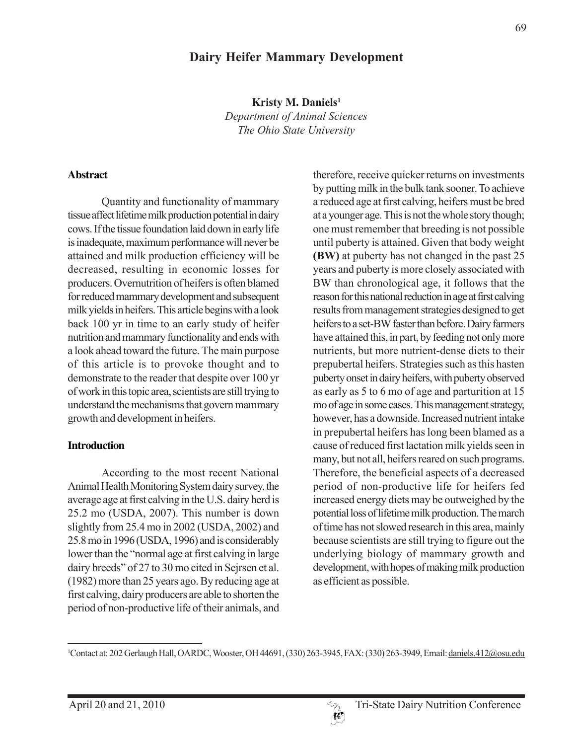## **Dairy Heifer Mammary Development**

**Kristy M. Daniels1**

*Department of Animal Sciences The Ohio State University*

#### **Abstract**

Quantity and functionality of mammary tissue affect lifetime milk production potential in dairy cows. If the tissue foundation laid down in early life is inadequate, maximum performance will never be attained and milk production efficiency will be decreased, resulting in economic losses for producers. Overnutrition of heifers is often blamed for reduced mammary development and subsequent milk yields in heifers. This article begins with a look back 100 yr in time to an early study of heifer nutrition and mammary functionality and ends with a look ahead toward the future. The main purpose of this article is to provoke thought and to demonstrate to the reader that despite over 100 yr of work in this topic area, scientists are still trying to understand the mechanisms that govern mammary growth and development in heifers.

#### **Introduction**

According to the most recent National Animal Health Monitoring System dairy survey, the average age at first calving in the U.S. dairy herd is 25.2 mo (USDA, 2007). This number is down slightly from 25.4 mo in 2002 (USDA, 2002) and 25.8 mo in 1996 (USDA, 1996) and is considerably lower than the "normal age at first calving in large dairy breeds" of 27 to 30 mo cited in Sejrsen et al. (1982) more than 25 years ago. By reducing age at first calving, dairy producers are able to shorten the period of non-productive life of their animals, and therefore, receive quicker returns on investments by putting milk in the bulk tank sooner. To achieve a reduced age at first calving, heifers must be bred at a younger age. This is not the whole story though; one must remember that breeding is not possible until puberty is attained. Given that body weight **(BW)** at puberty has not changed in the past 25 years and puberty is more closely associated with BW than chronological age, it follows that the reason for this national reduction in age at first calving results from management strategies designed to get heifers to a set-BW faster than before. Dairy farmers have attained this, in part, by feeding not only more nutrients, but more nutrient-dense diets to their prepubertal heifers. Strategies such as this hasten puberty onset in dairy heifers, with puberty observed as early as 5 to 6 mo of age and parturition at 15 mo of age in some cases. This management strategy, however, has a downside. Increased nutrient intake in prepubertal heifers has long been blamed as a cause of reduced first lactation milk yields seen in many, but not all, heifers reared on such programs. Therefore, the beneficial aspects of a decreased period of non-productive life for heifers fed increased energy diets may be outweighed by the potential loss of lifetime milk production. The march of time has not slowed research in this area, mainly because scientists are still trying to figure out the underlying biology of mammary growth and development, with hopes of making milk production as efficient as possible.

<sup>&</sup>lt;sup>1</sup>Contact at: 202 Gerlaugh Hall, OARDC, Wooster, OH 44691, (330) 263-3945, FAX: (330) 263-3949, Email: <u>daniels.412@osu.edu</u>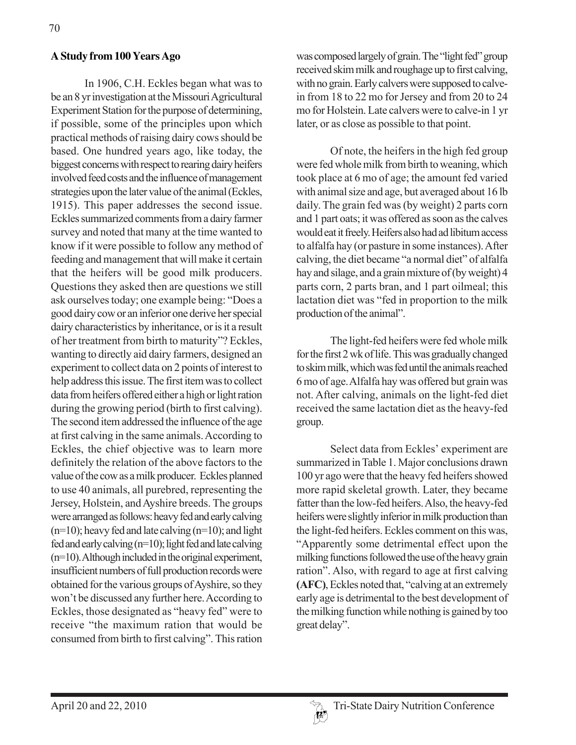#### **A Study from 100 Years Ago**

In 1906, C.H. Eckles began what was to be an 8 yr investigation at the Missouri Agricultural Experiment Station for the purpose of determining, if possible, some of the principles upon which practical methods of raising dairy cows should be based. One hundred years ago, like today, the biggest concerns with respect to rearing dairy heifers involved feed costs and the influence of management strategies upon the later value of the animal (Eckles, 1915). This paper addresses the second issue. Eckles summarized comments from a dairy farmer survey and noted that many at the time wanted to know if it were possible to follow any method of feeding and management that will make it certain that the heifers will be good milk producers. Questions they asked then are questions we still ask ourselves today; one example being: "Does a good dairy cow or an inferior one derive her special dairy characteristics by inheritance, or is it a result of her treatment from birth to maturity"? Eckles, wanting to directly aid dairy farmers, designed an experiment to collect data on 2 points of interest to help address this issue. The first item was to collect data from heifers offered either a high or light ration during the growing period (birth to first calving). The second item addressed the influence of the age at first calving in the same animals. According to Eckles, the chief objective was to learn more definitely the relation of the above factors to the value of the cow as a milk producer. Eckles planned to use 40 animals, all purebred, representing the Jersey, Holstein, and Ayshire breeds. The groups were arranged as follows: heavy fed and early calving  $(n=10)$ ; heavy fed and late calving  $(n=10)$ ; and light fed and early calving (n=10); light fed and late calving (n=10). Although included in the original experiment, insufficient numbers of full production records were obtained for the various groups of Ayshire, so they won't be discussed any further here. According to Eckles, those designated as "heavy fed" were to receive "the maximum ration that would be consumed from birth to first calving". This ration

was composed largely of grain. The "light fed" group received skim milk and roughage up to first calving, with no grain. Early calvers were supposed to calvein from 18 to 22 mo for Jersey and from 20 to 24 mo for Holstein. Late calvers were to calve-in 1 yr later, or as close as possible to that point.

Of note, the heifers in the high fed group were fed whole milk from birth to weaning, which took place at 6 mo of age; the amount fed varied with animal size and age, but averaged about 16 lb daily. The grain fed was (by weight) 2 parts corn and 1 part oats; it was offered as soon as the calves would eat it freely. Heifers also had ad libitum access to alfalfa hay (or pasture in some instances). After calving, the diet became "a normal diet" of alfalfa hay and silage, and a grain mixture of (by weight) 4 parts corn, 2 parts bran, and 1 part oilmeal; this lactation diet was "fed in proportion to the milk production of the animal".

The light-fed heifers were fed whole milk for the first 2 wk of life. This was gradually changed to skim milk, which was fed until the animals reached 6 mo of age. Alfalfa hay was offered but grain was not. After calving, animals on the light-fed diet received the same lactation diet as the heavy-fed group.

Select data from Eckles' experiment are summarized in Table 1. Major conclusions drawn 100 yr ago were that the heavy fed heifers showed more rapid skeletal growth. Later, they became fatter than the low-fed heifers. Also, the heavy-fed heifers were slightly inferior in milk production than the light-fed heifers. Eckles comment on this was, "Apparently some detrimental effect upon the milking functions followed the use of the heavy grain ration". Also, with regard to age at first calving **(AFC)**, Eckles noted that, "calving at an extremely early age is detrimental to the best development of the milking function while nothing is gained by too great delay".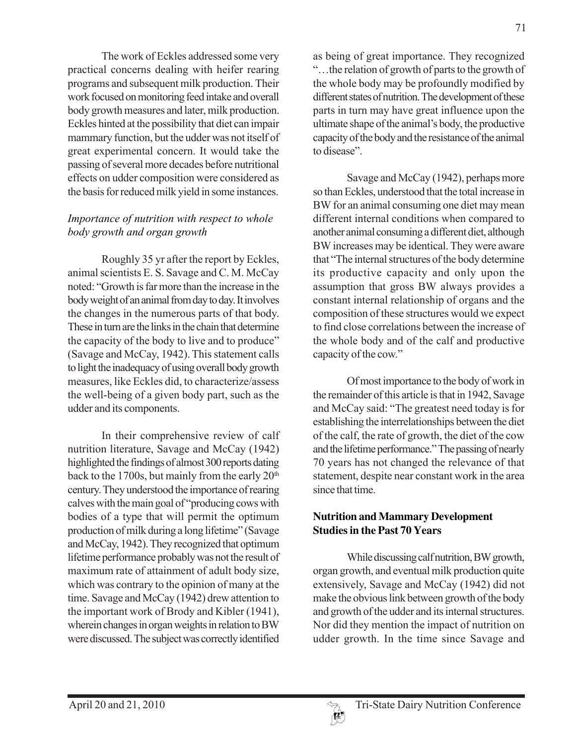The work of Eckles addressed some very practical concerns dealing with heifer rearing programs and subsequent milk production. Their work focused on monitoring feed intake and overall body growth measures and later, milk production. Eckles hinted at the possibility that diet can impair mammary function, but the udder was not itself of great experimental concern. It would take the passing of several more decades before nutritional effects on udder composition were considered as the basis for reduced milk yield in some instances.

#### *Importance of nutrition with respect to whole body growth and organ growth*

Roughly 35 yr after the report by Eckles, animal scientists E. S. Savage and C. M. McCay noted: "Growth is far more than the increase in the body weight of an animal from day to day. It involves the changes in the numerous parts of that body. These in turn are the links in the chain that determine the capacity of the body to live and to produce" (Savage and McCay, 1942). This statement calls to light the inadequacy of using overall body growth measures, like Eckles did, to characterize/assess the well-being of a given body part, such as the udder and its components.

In their comprehensive review of calf nutrition literature, Savage and McCay (1942) highlighted the findings of almost 300 reports dating back to the 1700s, but mainly from the early  $20<sup>th</sup>$ century. They understood the importance of rearing calves with the main goal of "producing cows with bodies of a type that will permit the optimum production of milk during a long lifetime" (Savage and McCay, 1942). They recognized that optimum lifetime performance probably was not the result of maximum rate of attainment of adult body size, which was contrary to the opinion of many at the time. Savage and McCay (1942) drew attention to the important work of Brody and Kibler (1941), wherein changes in organ weights in relation to BW were discussed. The subject was correctly identified

as being of great importance. They recognized "…the relation of growth of parts to the growth of the whole body may be profoundly modified by different states of nutrition. The development of these parts in turn may have great influence upon the ultimate shape of the animal's body, the productive capacity of the body and the resistance of the animal to disease".

Savage and McCay (1942), perhaps more so than Eckles, understood that the total increase in BW for an animal consuming one diet may mean different internal conditions when compared to another animal consuming a different diet, although BW increases may be identical. They were aware that "The internal structures of the body determine its productive capacity and only upon the assumption that gross BW always provides a constant internal relationship of organs and the composition of these structures would we expect to find close correlations between the increase of the whole body and of the calf and productive capacity of the cow."

Of most importance to the body of work in the remainder of this article is that in 1942, Savage and McCay said: "The greatest need today is for establishing the interrelationships between the diet of the calf, the rate of growth, the diet of the cow and the lifetime performance." The passing of nearly 70 years has not changed the relevance of that statement, despite near constant work in the area since that time.

#### **Nutrition and Mammary Development Studies in the Past 70 Years**

While discussing calf nutrition, BW growth, organ growth, and eventual milk production quite extensively, Savage and McCay (1942) did not make the obvious link between growth of the body and growth of the udder and its internal structures. Nor did they mention the impact of nutrition on udder growth. In the time since Savage and

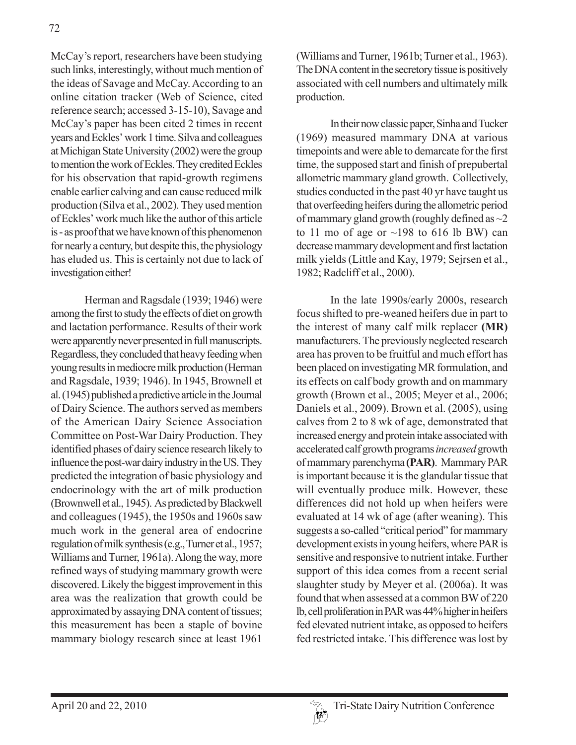McCay's report, researchers have been studying such links, interestingly, without much mention of the ideas of Savage and McCay. According to an online citation tracker (Web of Science, cited reference search; accessed 3-15-10), Savage and McCay's paper has been cited 2 times in recent years and Eckles' work 1 time. Silva and colleagues at Michigan State University (2002) were the group to mention the work of Eckles. They credited Eckles for his observation that rapid-growth regimens enable earlier calving and can cause reduced milk production (Silva et al., 2002). They used mention of Eckles' work much like the author of this article is - as proof that we have known of this phenomenon for nearly a century, but despite this, the physiology has eluded us. This is certainly not due to lack of investigation either!

Herman and Ragsdale (1939; 1946) were among the first to study the effects of diet on growth and lactation performance. Results of their work were apparently never presented in full manuscripts. Regardless, they concluded that heavy feeding when young results in mediocre milk production (Herman and Ragsdale, 1939; 1946). In 1945, Brownell et al. (1945) published a predictive article in the Journal of Dairy Science. The authors served as members of the American Dairy Science Association Committee on Post-War Dairy Production. They identified phases of dairy science research likely to influence the post-war dairy industry in the US. They predicted the integration of basic physiology and endocrinology with the art of milk production (Brownwell et al., 1945). As predicted by Blackwell and colleagues (1945), the 1950s and 1960s saw much work in the general area of endocrine regulation of milk synthesis (e.g., Turner et al., 1957; Williams and Turner, 1961a). Along the way, more refined ways of studying mammary growth were discovered. Likely the biggest improvement in this area was the realization that growth could be approximated by assaying DNA content of tissues; this measurement has been a staple of bovine mammary biology research since at least 1961

(Williams and Turner, 1961b; Turner et al., 1963). The DNA content in the secretory tissue is positively associated with cell numbers and ultimately milk production.

In their now classic paper, Sinha and Tucker (1969) measured mammary DNA at various timepoints and were able to demarcate for the first time, the supposed start and finish of prepubertal allometric mammary gland growth. Collectively, studies conducted in the past 40 yr have taught us that overfeeding heifers during the allometric period of mammary gland growth (roughly defined as  $\sim$ 2 to 11 mo of age or  $\sim$ 198 to 616 lb BW) can decrease mammary development and first lactation milk yields (Little and Kay, 1979; Sejrsen et al., 1982; Radcliff et al., 2000).

In the late 1990s/early 2000s, research focus shifted to pre-weaned heifers due in part to the interest of many calf milk replacer **(MR)** manufacturers. The previously neglected research area has proven to be fruitful and much effort has been placed on investigating MR formulation, and its effects on calf body growth and on mammary growth (Brown et al., 2005; Meyer et al., 2006; Daniels et al., 2009). Brown et al. (2005), using calves from 2 to 8 wk of age, demonstrated that increased energy and protein intake associated with accelerated calf growth programs *increased* growth of mammary parenchyma **(PAR)**. Mammary PAR is important because it is the glandular tissue that will eventually produce milk. However, these differences did not hold up when heifers were evaluated at 14 wk of age (after weaning). This suggests a so-called "critical period" for mammary development exists in young heifers, where PAR is sensitive and responsive to nutrient intake. Further support of this idea comes from a recent serial slaughter study by Meyer et al. (2006a). It was found that when assessed at a common BW of 220 lb, cell proliferation in PAR was 44% higher in heifers fed elevated nutrient intake, as opposed to heifers fed restricted intake. This difference was lost by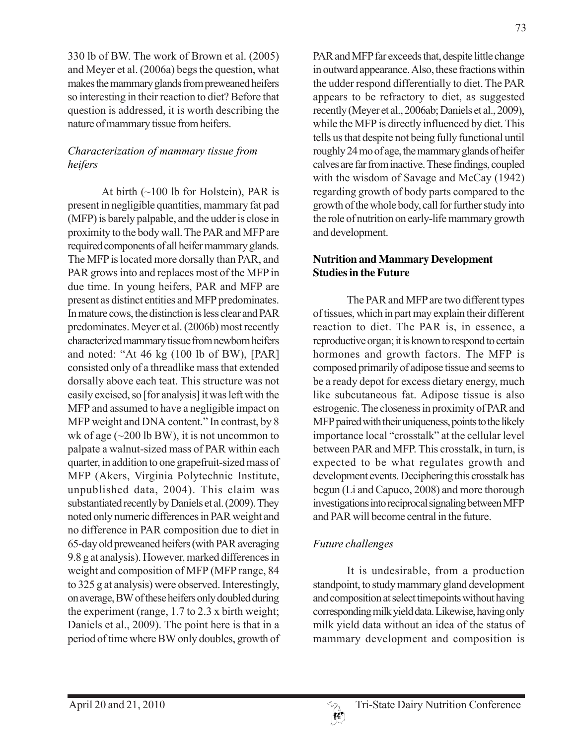330 lb of BW. The work of Brown et al. (2005) and Meyer et al. (2006a) begs the question, what makes the mammary glands from preweaned heifers so interesting in their reaction to diet? Before that question is addressed, it is worth describing the nature of mammary tissue from heifers.

### *Characterization of mammary tissue from heifers*

At birth  $(\sim 100$  lb for Holstein), PAR is present in negligible quantities, mammary fat pad (MFP) is barely palpable, and the udder is close in proximity to the body wall. The PAR and MFP are required components of all heifer mammary glands. The MFP is located more dorsally than PAR, and PAR grows into and replaces most of the MFP in due time. In young heifers, PAR and MFP are present as distinct entities and MFP predominates. In mature cows, the distinction is less clear and PAR predominates. Meyer et al. (2006b) most recently characterized mammary tissue from newborn heifers and noted: "At 46 kg (100 lb of BW), [PAR] consisted only of a threadlike mass that extended dorsally above each teat. This structure was not easily excised, so [for analysis] it was left with the MFP and assumed to have a negligible impact on MFP weight and DNA content." In contrast, by 8 wk of age  $(\sim 200 \text{ lb BW})$ , it is not uncommon to palpate a walnut-sized mass of PAR within each quarter, in addition to one grapefruit-sized mass of MFP (Akers, Virginia Polytechnic Institute, unpublished data, 2004). This claim was substantiated recently by Daniels et al. (2009). They noted only numeric differences in PAR weight and no difference in PAR composition due to diet in 65-day old preweaned heifers (with PAR averaging 9.8 g at analysis). However, marked differences in weight and composition of MFP (MFP range, 84 to 325 g at analysis) were observed. Interestingly, on average, BW of these heifers only doubled during the experiment (range, 1.7 to 2.3 x birth weight; Daniels et al., 2009). The point here is that in a period of time where BW only doubles, growth of PAR and MFP far exceeds that, despite little change in outward appearance. Also, these fractions within the udder respond differentially to diet. The PAR appears to be refractory to diet, as suggested recently (Meyer et al., 2006ab; Daniels et al., 2009), while the MFP is directly influenced by diet. This tells us that despite not being fully functional until roughly 24 mo of age, the mammary glands of heifer calves are far from inactive. These findings, coupled with the wisdom of Savage and McCay (1942) regarding growth of body parts compared to the growth of the whole body, call for further study into the role of nutrition on early-life mammary growth and development.

#### **Nutrition and Mammary Development Studies in the Future**

The PAR and MFP are two different types of tissues, which in part may explain their different reaction to diet. The PAR is, in essence, a reproductive organ; it is known to respond to certain hormones and growth factors. The MFP is composed primarily of adipose tissue and seems to be a ready depot for excess dietary energy, much like subcutaneous fat. Adipose tissue is also estrogenic. The closeness in proximity of PAR and MFP paired with their uniqueness, points to the likely importance local "crosstalk" at the cellular level between PAR and MFP. This crosstalk, in turn, is expected to be what regulates growth and development events. Deciphering this crosstalk has begun (Li and Capuco, 2008) and more thorough investigations into reciprocal signaling between MFP and PAR will become central in the future.

# *Future challenges*

It is undesirable, from a production standpoint, to study mammary gland development and composition at select timepoints without having corresponding milk yield data. Likewise, having only milk yield data without an idea of the status of mammary development and composition is

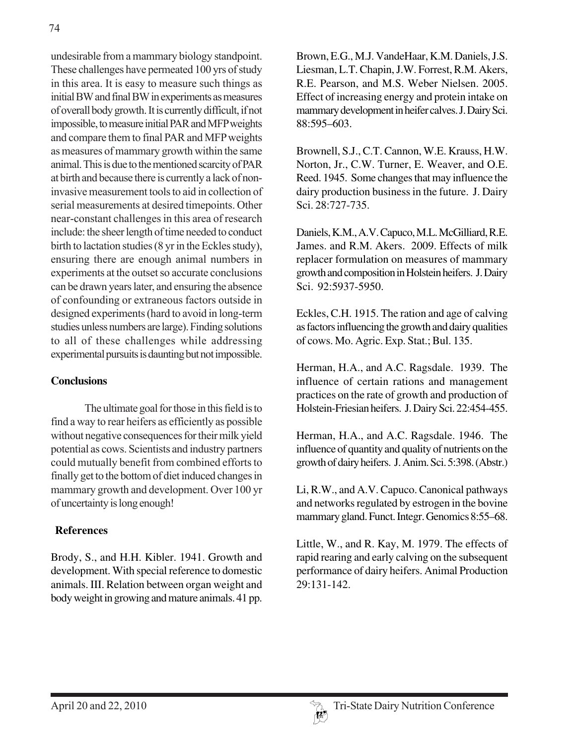undesirable from a mammary biology standpoint. These challenges have permeated 100 yrs of study in this area. It is easy to measure such things as initial BW and final BW in experiments as measures of overall body growth. It is currently difficult, if not impossible, to measure initial PAR and MFP weights and compare them to final PAR and MFP weights as measures of mammary growth within the same animal. This is due to the mentioned scarcity of PAR at birth and because there is currently a lack of noninvasive measurement tools to aid in collection of serial measurements at desired timepoints. Other near-constant challenges in this area of research include: the sheer length of time needed to conduct birth to lactation studies (8 yr in the Eckles study), ensuring there are enough animal numbers in experiments at the outset so accurate conclusions can be drawn years later, and ensuring the absence of confounding or extraneous factors outside in designed experiments (hard to avoid in long-term studies unless numbers are large). Finding solutions to all of these challenges while addressing experimental pursuits is daunting but not impossible.

#### **Conclusions**

The ultimate goal for those in this field is to find a way to rear heifers as efficiently as possible without negative consequences for their milk yield potential as cows. Scientists and industry partners could mutually benefit from combined efforts to finally get to the bottom of diet induced changes in mammary growth and development. Over 100 yr of uncertainty is long enough!

## **References**

Brody, S., and H.H. Kibler. 1941. Growth and development. With special reference to domestic animals. III. Relation between organ weight and body weight in growing and mature animals. 41 pp.

Brown, E.G., M.J. VandeHaar, K.M. Daniels, J.S. Liesman, L.T. Chapin, J.W. Forrest, R.M. Akers, R.E. Pearson, and M.S. Weber Nielsen. 2005. Effect of increasing energy and protein intake on mammary development in heifer calves. J. Dairy Sci. 88:595–603.

Brownell, S.J., C.T. Cannon, W.E. Krauss, H.W. Norton, Jr., C.W. Turner, E. Weaver, and O.E. Reed. 1945. Some changes that may influence the dairy production business in the future. J. Dairy Sci. 28:727-735.

Daniels, K.M., A.V. Capuco, M.L. McGilliard, R.E. James. and R.M. Akers. 2009. Effects of milk replacer formulation on measures of mammary growth and composition in Holstein heifers. J. Dairy Sci. 92:5937-5950.

Eckles, C.H. 1915. The ration and age of calving as factors influencing the growth and dairy qualities of cows. Mo. Agric. Exp. Stat.; Bul. 135.

Herman, H.A., and A.C. Ragsdale. 1939. The influence of certain rations and management practices on the rate of growth and production of Holstein-Friesian heifers. J. Dairy Sci. 22:454-455.

Herman, H.A., and A.C. Ragsdale. 1946. The influence of quantity and quality of nutrients on the growth of dairy heifers. J. Anim. Sci. 5:398. (Abstr.)

Li, R.W., and A.V. Capuco. Canonical pathways and networks regulated by estrogen in the bovine mammary gland. Funct. Integr. Genomics 8:55–68.

Little, W., and R. Kay, M. 1979. The effects of rapid rearing and early calving on the subsequent performance of dairy heifers. Animal Production 29:131-142.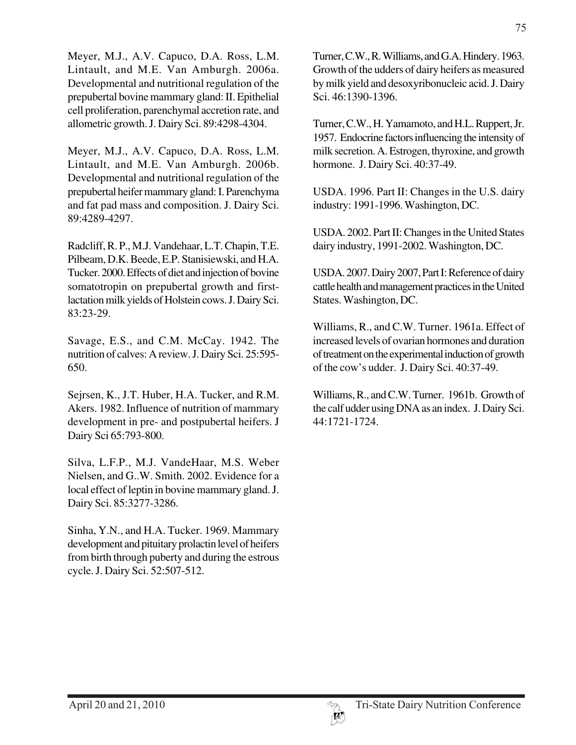Meyer, M.J., A.V. Capuco, D.A. Ross, L.M. Lintault, and M.E. Van Amburgh. 2006a. Developmental and nutritional regulation of the prepubertal bovine mammary gland: II. Epithelial cell proliferation, parenchymal accretion rate, and allometric growth. J. Dairy Sci. 89:4298-4304.

Meyer, M.J., A.V. Capuco, D.A. Ross, L.M. Lintault, and M.E. Van Amburgh. 2006b. Developmental and nutritional regulation of the prepubertal heifer mammary gland: I. Parenchyma and fat pad mass and composition. J. Dairy Sci. 89:4289-4297.

Radcliff, R. P., M.J. Vandehaar, L.T. Chapin, T.E. Pilbeam, D.K. Beede, E.P. Stanisiewski, and H.A. Tucker. 2000. Effects of diet and injection of bovine somatotropin on prepubertal growth and firstlactation milk yields of Holstein cows. J. Dairy Sci. 83:23-29.

Savage, E.S., and C.M. McCay. 1942. The nutrition of calves: A review. J. Dairy Sci. 25:595- 650.

Sejrsen, K., J.T. Huber, H.A. Tucker, and R.M. Akers. 1982. Influence of nutrition of mammary development in pre- and postpubertal heifers. J Dairy Sci 65:793-800.

Silva, L.F.P., M.J. VandeHaar, M.S. Weber Nielsen, and G..W. Smith. 2002. Evidence for a local effect of leptin in bovine mammary gland. J. Dairy Sci. 85:3277-3286.

Sinha, Y.N., and H.A. Tucker. 1969. Mammary development and pituitary prolactin level of heifers from birth through puberty and during the estrous cycle. J. Dairy Sci. 52:507-512.

Turner, C.W., R. Williams, and G.A. Hindery. 1963. Growth of the udders of dairy heifers as measured by milk yield and desoxyribonucleic acid. J. Dairy Sci. 46:1390-1396.

Turner, C.W., H. Yamamoto, and H.L. Ruppert, Jr. 1957. Endocrine factors influencing the intensity of milk secretion. A. Estrogen, thyroxine, and growth hormone. J. Dairy Sci. 40:37-49.

USDA. 1996. Part II: Changes in the U.S. dairy industry: 1991-1996. Washington, DC.

USDA. 2002. Part II: Changes in the United States dairy industry, 1991-2002. Washington, DC.

USDA. 2007. Dairy 2007, Part I: Reference of dairy cattle health and management practices in the United States. Washington, DC.

Williams, R., and C.W. Turner. 1961a. Effect of increased levels of ovarian hormones and duration of treatment on the experimental induction of growth of the cow's udder. J. Dairy Sci. 40:37-49.

Williams, R., and C.W. Turner. 1961b. Growth of the calf udder using DNA as an index. J. Dairy Sci. 44:1721-1724.